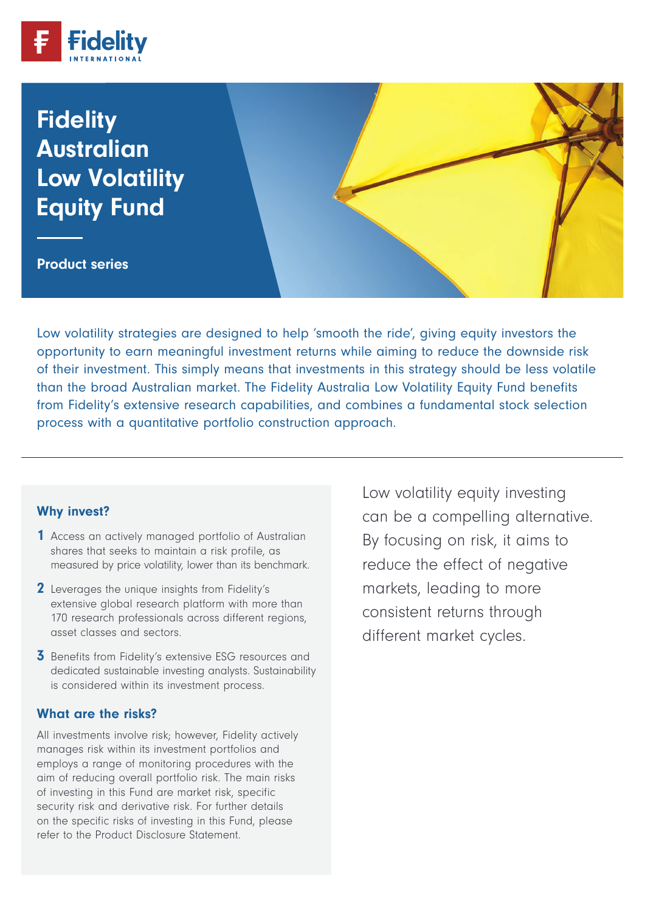

# **Fidelity** Australian Australian Low Volatility Low Volatility Equity Fund Equity Fund

Product series Product series

Low volatility strategies are designed to help 'smooth the ride', giving equity investors the opportunity to earn meaningful investment returns while aiming to reduce the downside risk of their investment. This simply means that investments in this strategy should be less volatile than the broad Australian market. The Fidelity Australia Low Volatility Equity Fund benefits from Fidelity's extensive research capabilities, and combines a fundamental stock selection process with a quantitative portfolio construction approach.

#### Why invest?

- 1 Access an actively managed portfolio of Australian shares that seeks to maintain a risk profile, as measured by price volatility, lower than its benchmark.
- 2 Leverages the unique insights from Fidelity's extensive global research platform with more than 170 research professionals across different regions, asset classes and sectors.
- **3** Benefits from Fidelity's extensive ESG resources and dedicated sustainable investing analysts. Sustainability is considered within its investment process.

#### What are the risks?

All investments involve risk; however, Fidelity actively manages risk within its investment portfolios and employs a range of monitoring procedures with the aim of reducing overall portfolio risk. The main risks of investing in this Fund are market risk, specific security risk and derivative risk. For further details on the specific risks of investing in this Fund, please refer to the Product Disclosure Statement.

Low volatility equity investing can be a compelling alternative. By focusing on risk, it aims to reduce the effect of negative markets, leading to more consistent returns through different market cycles.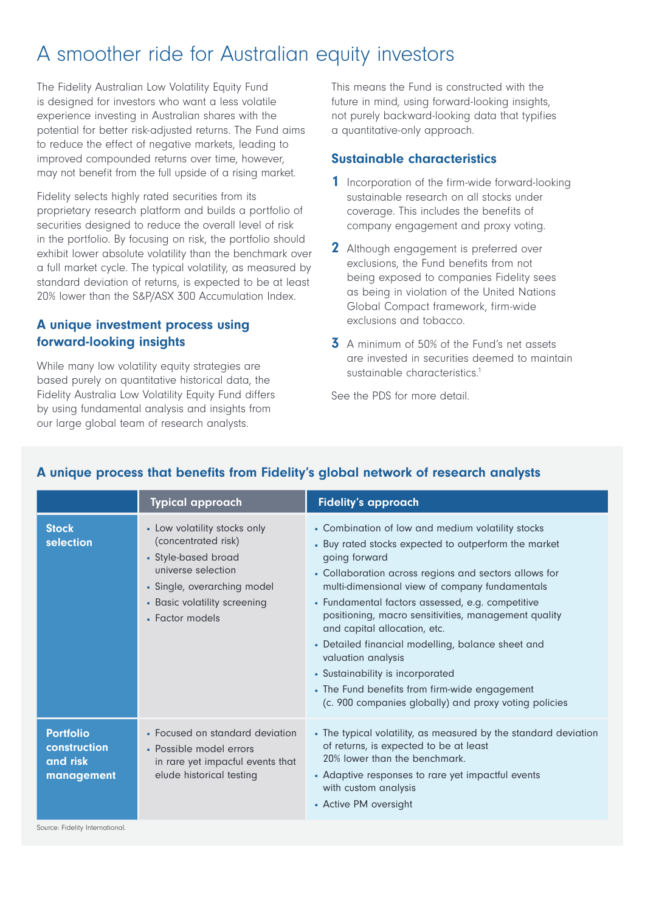# A smoother ride for Australian equity investors

The Fidelity Australian Low Volatility Equity Fund is designed for investors who want a less volatile experience investing in Australian shares with the potential for better risk-adjusted returns. The Fund aims to reduce the effect of negative markets, leading to improved compounded returns over time, however, may not benefit from the full upside of a rising market.

Fidelity selects highly rated securities from its proprietary research platform and builds a portfolio of securities designed to reduce the overall level of risk in the portfolio. By focusing on risk, the portfolio should exhibit lower absolute volatility than the benchmark over a full market cycle. The typical volatility, as measured by standard deviation of returns, is expected to be at least 20% lower than the S&P/ASX 300 Accumulation Index.

## A unique investment process using forward-looking insights

While many low volatility equity strategies are based purely on quantitative historical data, the Fidelity Australia Low Volatility Equity Fund differs by using fundamental analysis and insights from our large global team of research analysts.

This means the Fund is constructed with the future in mind, using forward-looking insights, not purely backward-looking data that typifies a quantitative-only approach.

#### Sustainable characteristics

- **1** Incorporation of the firm-wide forward-looking sustainable research on all stocks under coverage. This includes the benefits of company engagement and proxy voting.
- 2 Although engagement is preferred over exclusions, the Fund benefits from not being exposed to companies Fidelity sees as being in violation of the United Nations Global Compact framework, firm-wide exclusions and tobacco.
- **3** A minimum of 50% of the Fund's net assets are invested in securities deemed to maintain sustainable characteristics.<sup>1</sup>

See the PDS for more detail.

|                                                            | <b>Typical approach</b>                                                                                                                                                            | <b>Fidelity's approach</b>                                                                                                                                                                                                                                                                                                                                                                                                                                                                                                                                                                                 |
|------------------------------------------------------------|------------------------------------------------------------------------------------------------------------------------------------------------------------------------------------|------------------------------------------------------------------------------------------------------------------------------------------------------------------------------------------------------------------------------------------------------------------------------------------------------------------------------------------------------------------------------------------------------------------------------------------------------------------------------------------------------------------------------------------------------------------------------------------------------------|
| <b>Stock</b><br>selection                                  | - Low volatility stocks only<br>(concentrated risk)<br>• Style-based broad<br>universe selection<br>· Single, overarching model<br>- Basic volatility screening<br>• Factor models | - Combination of low and medium volatility stocks<br>- Buy rated stocks expected to outperform the market<br>going forward<br>• Collaboration across regions and sectors allows for<br>multi-dimensional view of company fundamentals<br>• Fundamental factors assessed, e.g. competitive<br>positioning, macro sensitivities, management quality<br>and capital allocation, etc.<br>• Detailed financial modelling, balance sheet and<br>valuation analysis<br>- Sustainability is incorporated<br>• The Fund benefits from firm-wide engagement<br>(c. 900 companies globally) and proxy voting policies |
| <b>Portfolio</b><br>construction<br>and risk<br>management | • Focused on standard deviation<br>- Possible model errors<br>in rare yet impacful events that<br>elude historical testing                                                         | • The typical volatility, as measured by the standard deviation<br>of returns, is expected to be at least<br>20% lower than the benchmark.<br>• Adaptive responses to rare yet impactful events<br>with custom analysis<br>- Active PM oversight                                                                                                                                                                                                                                                                                                                                                           |

# A unique process that benefits from Fidelity's global network of research analysts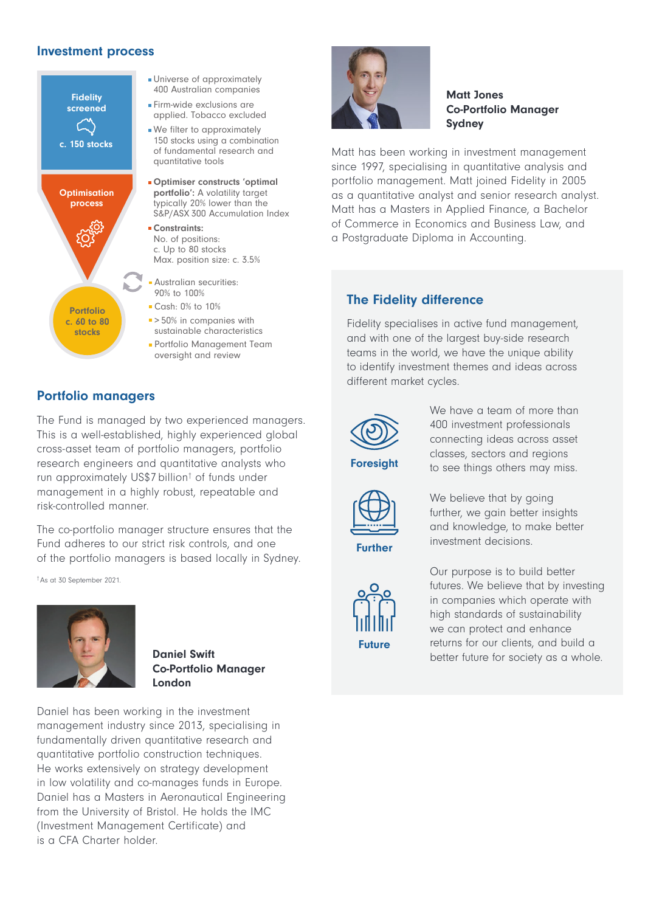#### Investment process



#### Universe of approximately 400 Australian companies

Firm-wide exclusions are applied. Tobacco excluded

We filter to approximately 150 stocks using a combination of fundamental research and quantitative tools

Optimiser constructs 'optimal portfolio': A volatility target typically 20% lower than the S&P/ASX 300 Accumulation Index

**Constraints:** No. of positions: c. Up to 80 stocks Max. position size: c. 3.5%

- Australian securities: 90% to 100%
- Cash: 0% to 10%
- > 50% in companies with sustainable characteristics
- Portfolio Management Team oversight and review

# Portfolio managers

The Fund is managed by two experienced managers. This is a well-established, highly experienced global cross-asset team of portfolio managers, portfolio research engineers and quantitative analysts who run approximately US\$7 billion<sup>†</sup> of funds under management in a highly robust, repeatable and risk-controlled manner.

The co-portfolio manager structure ensures that the Fund adheres to our strict risk controls, and one of the portfolio managers is based locally in Sydney.

†As at 30 September 2021.



Daniel Swift Co-Portfolio Manager London

Daniel has been working in the investment management industry since 2013, specialising in fundamentally driven quantitative research and quantitative portfolio construction techniques. He works extensively on strategy development in low volatility and co-manages funds in Europe. Daniel has a Masters in Aeronautical Engineering from the University of Bristol. He holds the IMC (Investment Management Certificate) and is a CFA Charter holder.



#### Matt Jones Co-Portfolio Manager Sydney

Matt has been working in investment management since 1997, specialising in quantitative analysis and portfolio management. Matt joined Fidelity in 2005 as a quantitative analyst and senior research analyst. Matt has a Masters in Applied Finance, a Bachelor of Commerce in Economics and Business Law, and a Postgraduate Diploma in Accounting.

# The Fidelity difference

Fidelity specialises in active fund management, and with one of the largest buy-side research teams in the world, we have the unique ability to identify investment themes and ideas across different market cycles.



Foresight

We have a team of more than 400 investment professionals connecting ideas across asset classes, sectors and regions to see things others may miss.



Further

We believe that by going further, we gain better insights and knowledge, to make better investment decisions.



Our purpose is to build better futures. We believe that by investing in companies which operate with high standards of sustainability we can protect and enhance returns for our clients, and build a better future for society as a whole.